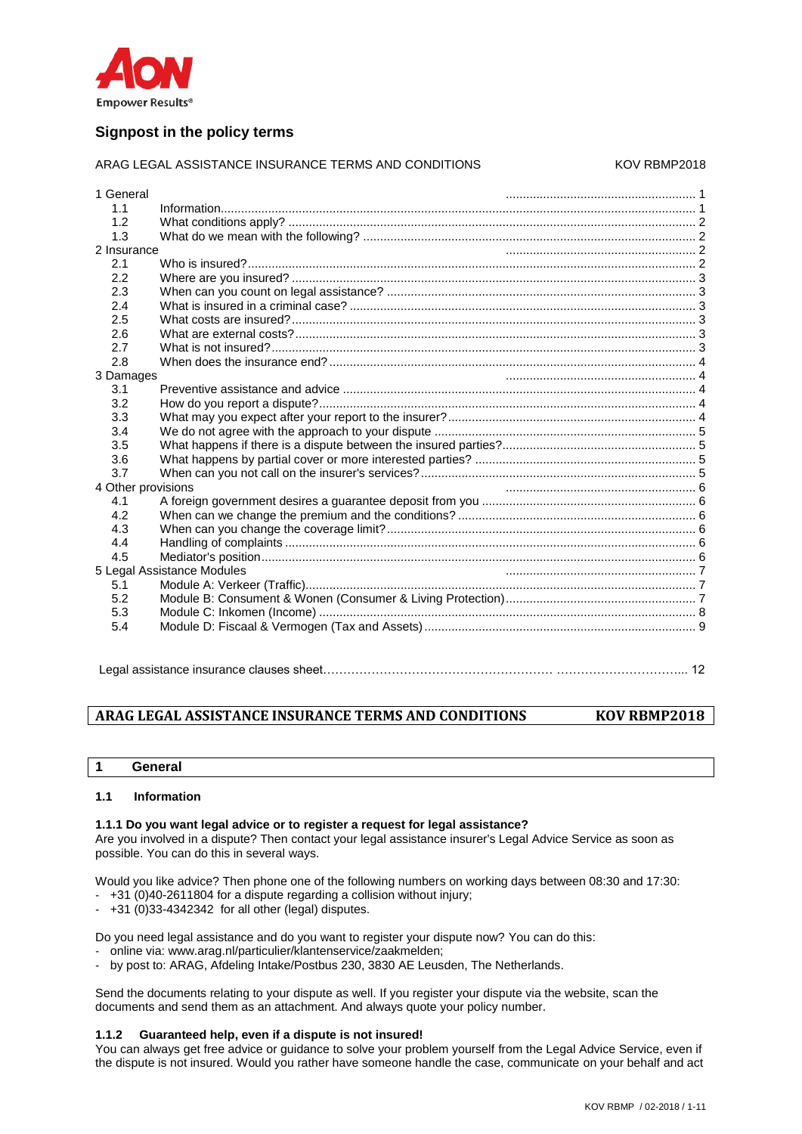

# **Signpost in the policy terms**

### ARAG LEGAL ASSISTANCE INSURANCE TERMS AND CONDITIONS KOV RBMP2018

| 1 General                  |  |  |
|----------------------------|--|--|
| 1.1                        |  |  |
| 1.2                        |  |  |
| 1.3                        |  |  |
| 2 Insurance                |  |  |
| 2.1                        |  |  |
| 2.2                        |  |  |
| 2.3                        |  |  |
| 2.4                        |  |  |
| 2.5                        |  |  |
| 2.6                        |  |  |
| 2.7                        |  |  |
| 2.8                        |  |  |
| 3 Damages                  |  |  |
| 3.1                        |  |  |
| 3.2                        |  |  |
| 3.3                        |  |  |
| 3.4                        |  |  |
| 3.5                        |  |  |
| 3.6                        |  |  |
| 3.7                        |  |  |
| 4 Other provisions         |  |  |
| 4.1                        |  |  |
| 4.2                        |  |  |
| 4.3                        |  |  |
| 4.4                        |  |  |
| 4.5                        |  |  |
| 5 Legal Assistance Modules |  |  |
| 5.1                        |  |  |
| 5.2                        |  |  |
| 5.3                        |  |  |
| 5.4                        |  |  |
|                            |  |  |
|                            |  |  |

Legal assistance insurance clauses sheet………………………………………………… …………………………... 12

# **ARAG LEGAL ASSISTANCE INSURANCE TERMS AND CONDITIONS KOV RBMP2018**

**1 General**

### **1.1 Information**

# **1.1.1 Do you want legal advice or to register a request for legal assistance?**

Are you involved in a dispute? Then contact your legal assistance insurer's Legal Advice Service as soon as possible. You can do this in several ways.

Would you like advice? Then phone one of the following numbers on working days between 08:30 and 17:30:

- +31 (0)40-2611804 for a dispute regarding a collision without injury;
- $-$  +31 (0)33-4342342 for all other (legal) disputes.

Do you need legal assistance and do you want to register your dispute now? You can do this:

- online via: www.arag.nl/particulier/klantenservice/zaakmelden;
- by post to: ARAG, Afdeling Intake/Postbus 230, 3830 AE Leusden, The Netherlands.

Send the documents relating to your dispute as well. If you register your dispute via the website, scan the documents and send them as an attachment. And always quote your policy number.

### **1.1.2 Guaranteed help, even if a dispute is not insured!**

You can always get free advice or guidance to solve your problem yourself from the Legal Advice Service, even if the dispute is not insured. Would you rather have someone handle the case, communicate on your behalf and act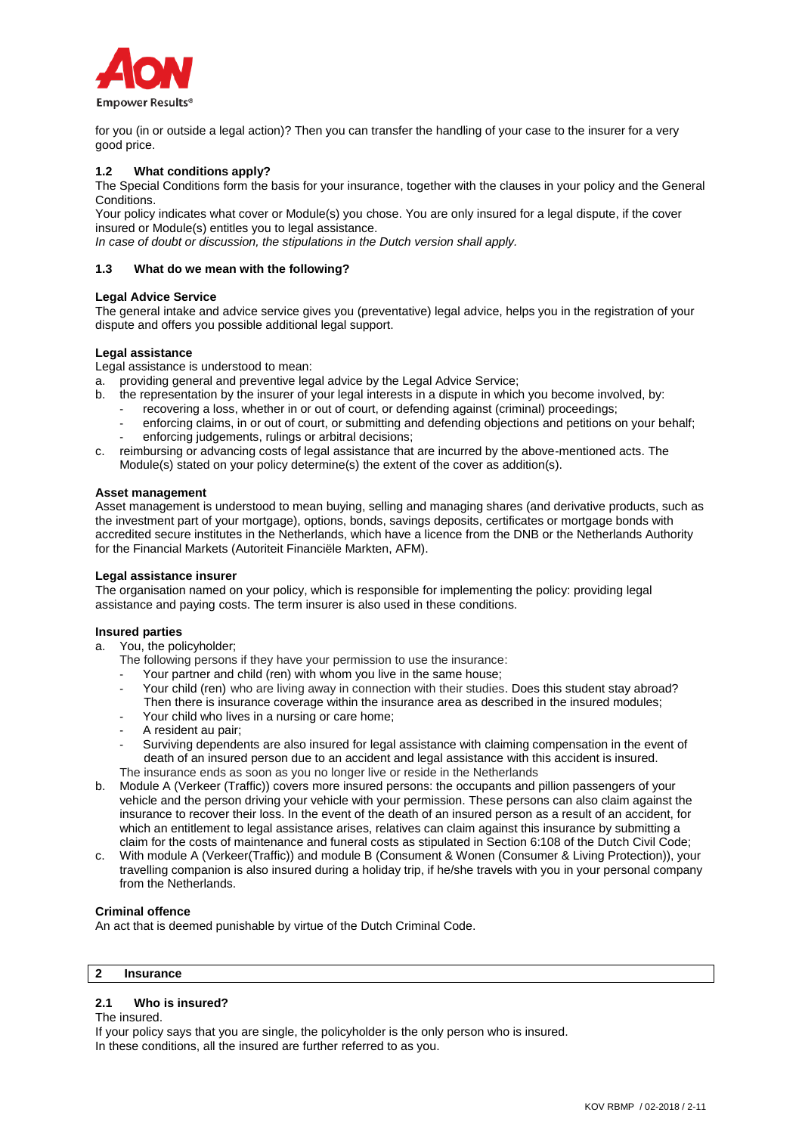

for you (in or outside a legal action)? Then you can transfer the handling of your case to the insurer for a very good price.

### **1.2 What conditions apply?**

The Special Conditions form the basis for your insurance, together with the clauses in your policy and the General Conditions.

Your policy indicates what cover or Module(s) you chose. You are only insured for a legal dispute, if the cover insured or Module(s) entitles you to legal assistance.

*In case of doubt or discussion, the stipulations in the Dutch version shall apply.*

### **1.3 What do we mean with the following?**

### **Legal Advice Service**

The general intake and advice service gives you (preventative) legal advice, helps you in the registration of your dispute and offers you possible additional legal support.

### **Legal assistance**

Legal assistance is understood to mean:

- a. providing general and preventive legal advice by the Legal Advice Service;
- b. the representation by the insurer of your legal interests in a dispute in which you become involved, by:
	- recovering a loss, whether in or out of court, or defending against (criminal) proceedings;
	- enforcing claims, in or out of court, or submitting and defending objections and petitions on your behalf; enforcing judgements, rulings or arbitral decisions;
- c. reimbursing or advancing costs of legal assistance that are incurred by the above-mentioned acts. The Module(s) stated on your policy determine(s) the extent of the cover as addition(s).

### **Asset management**

Asset management is understood to mean buying, selling and managing shares (and derivative products, such as the investment part of your mortgage), options, bonds, savings deposits, certificates or mortgage bonds with accredited secure institutes in the Netherlands, which have a licence from the DNB or the Netherlands Authority for the Financial Markets (Autoriteit Financiële Markten, AFM).

### **Legal assistance insurer**

The organisation named on your policy, which is responsible for implementing the policy: providing legal assistance and paying costs. The term insurer is also used in these conditions.

### **Insured parties**

a. You, the policyholder;

The following persons if they have your permission to use the insurance:

- Your partner and child (ren) with whom you live in the same house;
- Your child (ren) who are living away in connection with their studies. Does this student stay abroad? Then there is insurance coverage within the insurance area as described in the insured modules;
- Your child who lives in a nursing or care home;
- A resident au pair;
- Surviving dependents are also insured for legal assistance with claiming compensation in the event of death of an insured person due to an accident and legal assistance with this accident is insured.

The insurance ends as soon as you no longer live or reside in the Netherlands

- b. Module A (Verkeer (Traffic)) covers more insured persons: the occupants and pillion passengers of your vehicle and the person driving your vehicle with your permission. These persons can also claim against the insurance to recover their loss. In the event of the death of an insured person as a result of an accident, for which an entitlement to legal assistance arises, relatives can claim against this insurance by submitting a claim for the costs of maintenance and funeral costs as stipulated in Section 6:108 of the Dutch Civil Code;
- c. With module A (Verkeer(Traffic)) and module B (Consument & Wonen (Consumer & Living Protection)), your travelling companion is also insured during a holiday trip, if he/she travels with you in your personal company from the Netherlands.

### **Criminal offence**

An act that is deemed punishable by virtue of the Dutch Criminal Code.

# **2 Insurance**

### **2.1 Who is insured?**

The insured.

If your policy says that you are single, the policyholder is the only person who is insured. In these conditions, all the insured are further referred to as you.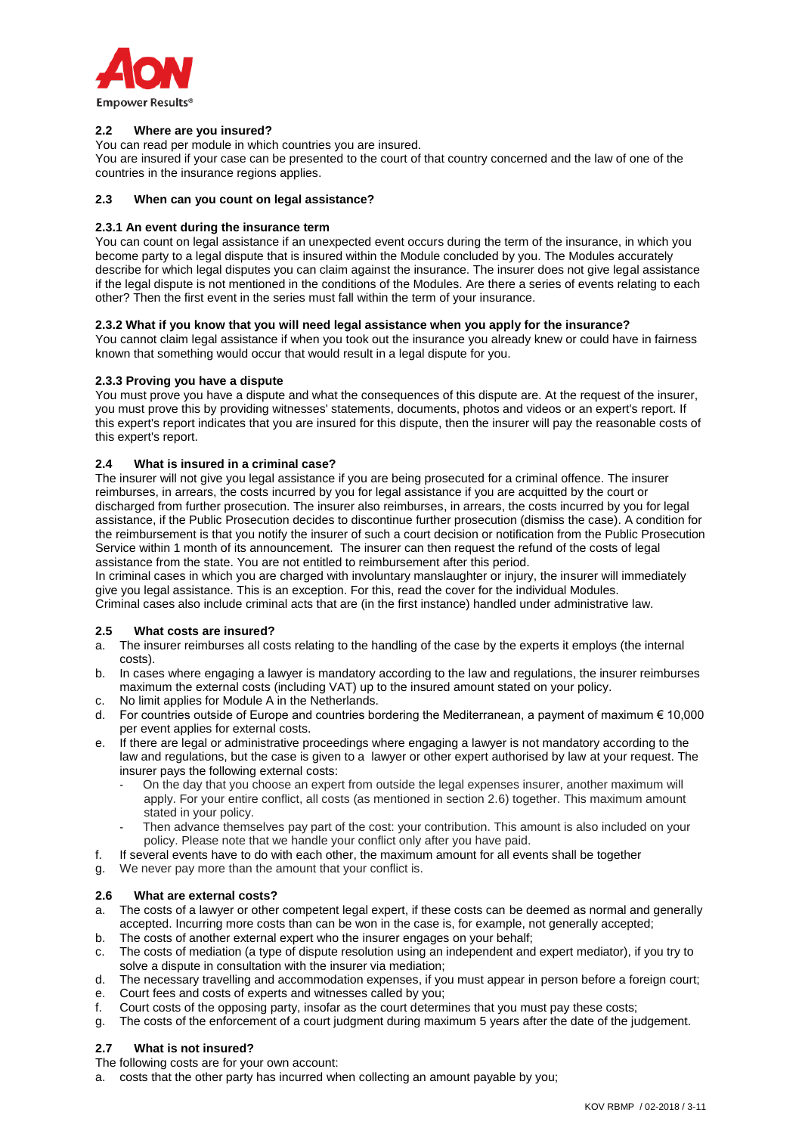

### **2.2 Where are you insured?**

You can read per module in which countries you are insured.

You are insured if your case can be presented to the court of that country concerned and the law of one of the countries in the insurance regions applies.

### **2.3 When can you count on legal assistance?**

### **2.3.1 An event during the insurance term**

You can count on legal assistance if an unexpected event occurs during the term of the insurance, in which you become party to a legal dispute that is insured within the Module concluded by you. The Modules accurately describe for which legal disputes you can claim against the insurance. The insurer does not give legal assistance if the legal dispute is not mentioned in the conditions of the Modules. Are there a series of events relating to each other? Then the first event in the series must fall within the term of your insurance.

### **2.3.2 What if you know that you will need legal assistance when you apply for the insurance?**

You cannot claim legal assistance if when you took out the insurance you already knew or could have in fairness known that something would occur that would result in a legal dispute for you.

# **2.3.3 Proving you have a dispute**

You must prove you have a dispute and what the consequences of this dispute are. At the request of the insurer, you must prove this by providing witnesses' statements, documents, photos and videos or an expert's report. If this expert's report indicates that you are insured for this dispute, then the insurer will pay the reasonable costs of this expert's report.

### **2.4 What is insured in a criminal case?**

The insurer will not give you legal assistance if you are being prosecuted for a criminal offence. The insurer reimburses, in arrears, the costs incurred by you for legal assistance if you are acquitted by the court or discharged from further prosecution. The insurer also reimburses, in arrears, the costs incurred by you for legal assistance, if the Public Prosecution decides to discontinue further prosecution (dismiss the case). A condition for the reimbursement is that you notify the insurer of such a court decision or notification from the Public Prosecution Service within 1 month of its announcement. The insurer can then request the refund of the costs of legal assistance from the state. You are not entitled to reimbursement after this period.

In criminal cases in which you are charged with involuntary manslaughter or injury, the insurer will immediately give you legal assistance. This is an exception. For this, read the cover for the individual Modules. Criminal cases also include criminal acts that are (in the first instance) handled under administrative law.

### **2.5 What costs are insured?**

- a. The insurer reimburses all costs relating to the handling of the case by the experts it employs (the internal costs).
- b. In cases where engaging a lawyer is mandatory according to the law and regulations, the insurer reimburses maximum the external costs (including VAT) up to the insured amount stated on your policy.
- c. No limit applies for Module A in the Netherlands.
- d. For countries outside of Europe and countries bordering the Mediterranean, a payment of maximum € 10,000 per event applies for external costs.
- e. If there are legal or administrative proceedings where engaging a lawyer is not mandatory according to the law and regulations, but the case is given to a lawyer or other expert authorised by law at your request. The insurer pays the following external costs:
	- On the day that you choose an expert from outside the legal expenses insurer, another maximum will apply. For your entire conflict, all costs (as mentioned in section 2.6) together. This maximum amount stated in your policy.
	- Then advance themselves pay part of the cost: your contribution. This amount is also included on your policy. Please note that we handle your conflict only after you have paid.
- f. If several events have to do with each other, the maximum amount for all events shall be together
- g. We never pay more than the amount that your conflict is.

### **2.6 What are external costs?**

- a. The costs of a lawyer or other competent legal expert, if these costs can be deemed as normal and generally accepted. Incurring more costs than can be won in the case is, for example, not generally accepted;
- b. The costs of another external expert who the insurer engages on your behalf;
- c. The costs of mediation (a type of dispute resolution using an independent and expert mediator), if you try to solve a dispute in consultation with the insurer via mediation;
- d. The necessary travelling and accommodation expenses, if you must appear in person before a foreign court;
- e. Court fees and costs of experts and witnesses called by you;
- f. Court costs of the opposing party, insofar as the court determines that you must pay these costs;
- g. The costs of the enforcement of a court judgment during maximum 5 years after the date of the judgement.

# **2.7 What is not insured?**

The following costs are for your own account:

a. costs that the other party has incurred when collecting an amount payable by you;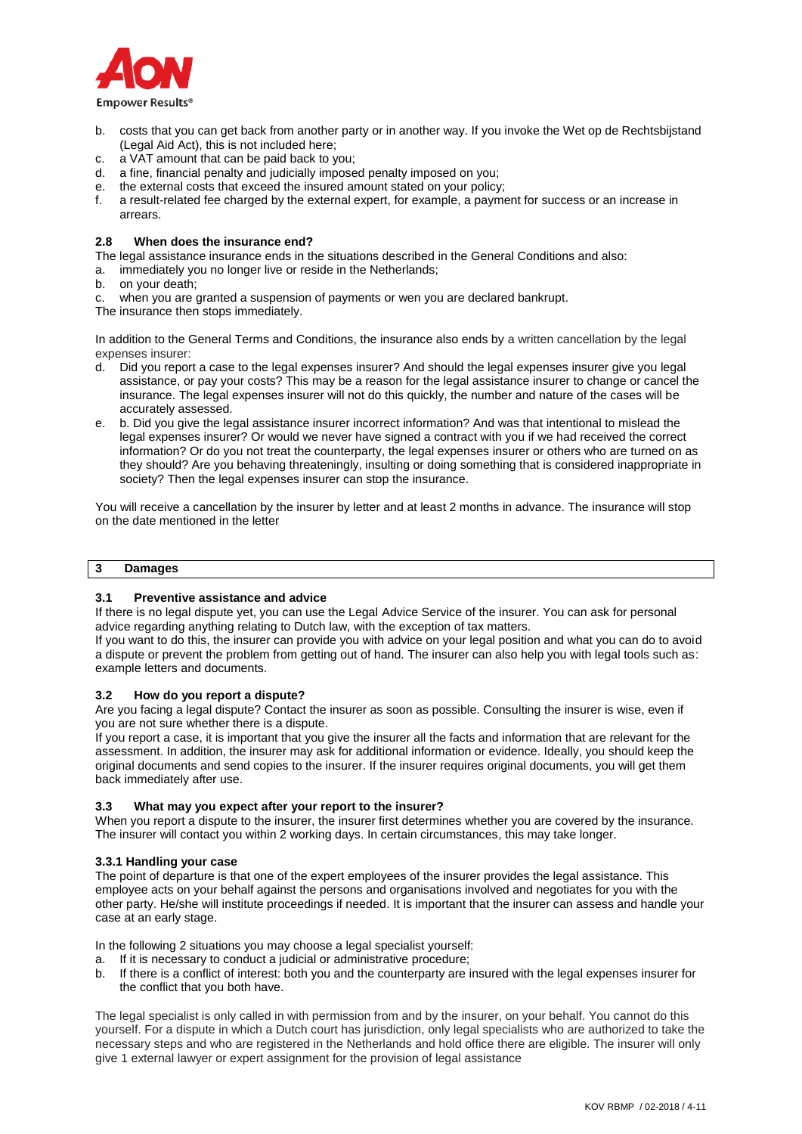

- b. costs that you can get back from another party or in another way. If you invoke the Wet op de Rechtsbijstand (Legal Aid Act), this is not included here;
- c. a VAT amount that can be paid back to you;
- d. a fine, financial penalty and judicially imposed penalty imposed on you;
- e. the external costs that exceed the insured amount stated on your policy;
- f. a result-related fee charged by the external expert, for example, a payment for success or an increase in arrears.

### **2.8 When does the insurance end?**

The legal assistance insurance ends in the situations described in the General Conditions and also:

a. immediately you no longer live or reside in the Netherlands;

- b. on your death;
- c. when you are granted a suspension of payments or wen you are declared bankrupt.

The insurance then stops immediately.

In addition to the General Terms and Conditions, the insurance also ends by a written cancellation by the legal expenses insurer:

- d. Did you report a case to the legal expenses insurer? And should the legal expenses insurer give you legal assistance, or pay your costs? This may be a reason for the legal assistance insurer to change or cancel the insurance. The legal expenses insurer will not do this quickly, the number and nature of the cases will be accurately assessed.
- e. b. Did you give the legal assistance insurer incorrect information? And was that intentional to mislead the legal expenses insurer? Or would we never have signed a contract with you if we had received the correct information? Or do you not treat the counterparty, the legal expenses insurer or others who are turned on as they should? Are you behaving threateningly, insulting or doing something that is considered inappropriate in society? Then the legal expenses insurer can stop the insurance.

You will receive a cancellation by the insurer by letter and at least 2 months in advance. The insurance will stop on the date mentioned in the letter

# **3 Damages**

### **3.1 Preventive assistance and advice**

If there is no legal dispute yet, you can use the Legal Advice Service of the insurer. You can ask for personal advice regarding anything relating to Dutch law, with the exception of tax matters.

If you want to do this, the insurer can provide you with advice on your legal position and what you can do to avoid a dispute or prevent the problem from getting out of hand. The insurer can also help you with legal tools such as: example letters and documents.

### **3.2 How do you report a dispute?**

Are you facing a legal dispute? Contact the insurer as soon as possible. Consulting the insurer is wise, even if you are not sure whether there is a dispute.

If you report a case, it is important that you give the insurer all the facts and information that are relevant for the assessment. In addition, the insurer may ask for additional information or evidence. Ideally, you should keep the original documents and send copies to the insurer. If the insurer requires original documents, you will get them back immediately after use.

### **3.3 What may you expect after your report to the insurer?**

When you report a dispute to the insurer, the insurer first determines whether you are covered by the insurance. The insurer will contact you within 2 working days. In certain circumstances, this may take longer.

### **3.3.1 Handling your case**

The point of departure is that one of the expert employees of the insurer provides the legal assistance. This employee acts on your behalf against the persons and organisations involved and negotiates for you with the other party. He/she will institute proceedings if needed. It is important that the insurer can assess and handle your case at an early stage.

In the following 2 situations you may choose a legal specialist yourself:

a. If it is necessary to conduct a judicial or administrative procedure;

b. If there is a conflict of interest: both you and the counterparty are insured with the legal expenses insurer for the conflict that you both have.

The legal specialist is only called in with permission from and by the insurer, on your behalf. You cannot do this yourself. For a dispute in which a Dutch court has jurisdiction, only legal specialists who are authorized to take the necessary steps and who are registered in the Netherlands and hold office there are eligible. The insurer will only give 1 external lawyer or expert assignment for the provision of legal assistance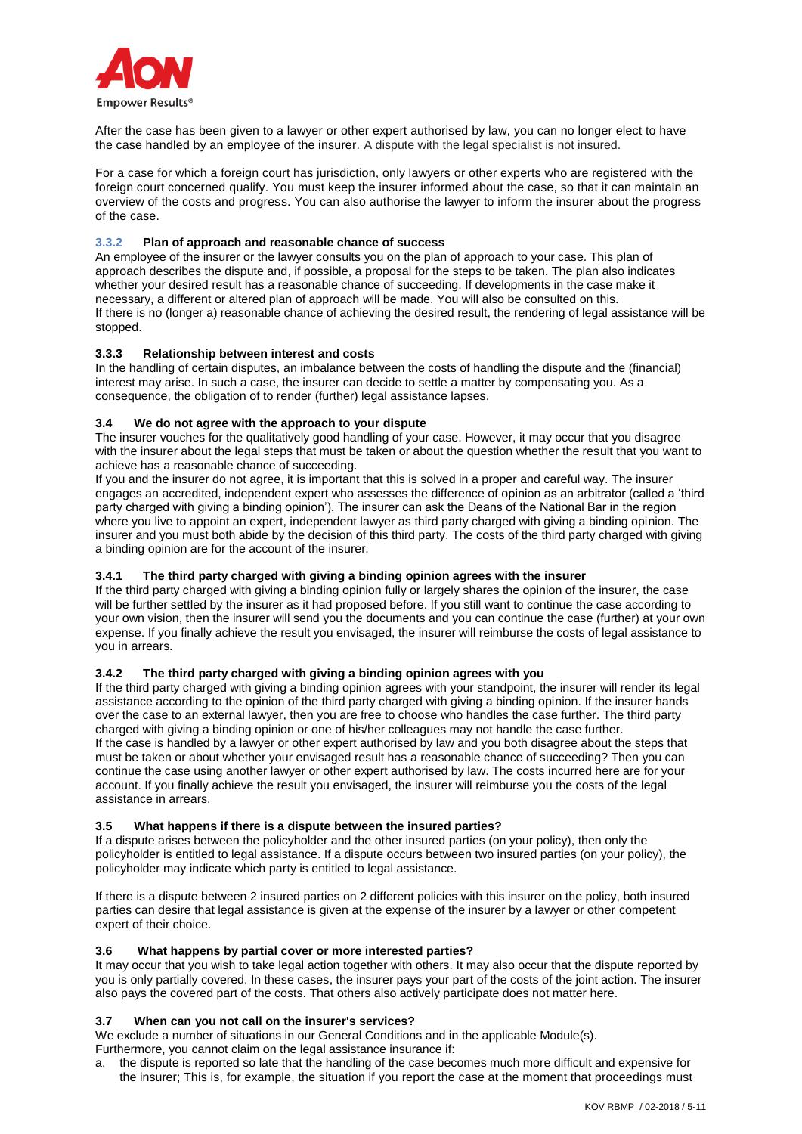

After the case has been given to a lawyer or other expert authorised by law, you can no longer elect to have the case handled by an employee of the insurer. A dispute with the legal specialist is not insured.

For a case for which a foreign court has jurisdiction, only lawyers or other experts who are registered with the foreign court concerned qualify. You must keep the insurer informed about the case, so that it can maintain an overview of the costs and progress. You can also authorise the lawyer to inform the insurer about the progress of the case.

### **3.3.2 Plan of approach and reasonable chance of success**

An employee of the insurer or the lawyer consults you on the plan of approach to your case. This plan of approach describes the dispute and, if possible, a proposal for the steps to be taken. The plan also indicates whether your desired result has a reasonable chance of succeeding. If developments in the case make it necessary, a different or altered plan of approach will be made. You will also be consulted on this. If there is no (longer a) reasonable chance of achieving the desired result, the rendering of legal assistance will be stopped.

### **3.3.3 Relationship between interest and costs**

In the handling of certain disputes, an imbalance between the costs of handling the dispute and the (financial) interest may arise. In such a case, the insurer can decide to settle a matter by compensating you. As a consequence, the obligation of to render (further) legal assistance lapses.

### **3.4 We do not agree with the approach to your dispute**

The insurer vouches for the qualitatively good handling of your case. However, it may occur that you disagree with the insurer about the legal steps that must be taken or about the question whether the result that you want to achieve has a reasonable chance of succeeding.

If you and the insurer do not agree, it is important that this is solved in a proper and careful way. The insurer engages an accredited, independent expert who assesses the difference of opinion as an arbitrator (called a 'third party charged with giving a binding opinion'). The insurer can ask the Deans of the National Bar in the region where you live to appoint an expert, independent lawyer as third party charged with giving a binding opinion. The insurer and you must both abide by the decision of this third party. The costs of the third party charged with giving a binding opinion are for the account of the insurer.

# **3.4.1 The third party charged with giving a binding opinion agrees with the insurer**

If the third party charged with giving a binding opinion fully or largely shares the opinion of the insurer, the case will be further settled by the insurer as it had proposed before. If you still want to continue the case according to your own vision, then the insurer will send you the documents and you can continue the case (further) at your own expense. If you finally achieve the result you envisaged, the insurer will reimburse the costs of legal assistance to you in arrears.

### **3.4.2 The third party charged with giving a binding opinion agrees with you**

If the third party charged with giving a binding opinion agrees with your standpoint, the insurer will render its legal assistance according to the opinion of the third party charged with giving a binding opinion. If the insurer hands over the case to an external lawyer, then you are free to choose who handles the case further. The third party charged with giving a binding opinion or one of his/her colleagues may not handle the case further. If the case is handled by a lawyer or other expert authorised by law and you both disagree about the steps that must be taken or about whether your envisaged result has a reasonable chance of succeeding? Then you can continue the case using another lawyer or other expert authorised by law. The costs incurred here are for your account. If you finally achieve the result you envisaged, the insurer will reimburse you the costs of the legal assistance in arrears.

### **3.5 What happens if there is a dispute between the insured parties?**

If a dispute arises between the policyholder and the other insured parties (on your policy), then only the policyholder is entitled to legal assistance. If a dispute occurs between two insured parties (on your policy), the policyholder may indicate which party is entitled to legal assistance.

If there is a dispute between 2 insured parties on 2 different policies with this insurer on the policy, both insured parties can desire that legal assistance is given at the expense of the insurer by a lawyer or other competent expert of their choice.

### **3.6 What happens by partial cover or more interested parties?**

It may occur that you wish to take legal action together with others. It may also occur that the dispute reported by you is only partially covered. In these cases, the insurer pays your part of the costs of the joint action. The insurer also pays the covered part of the costs. That others also actively participate does not matter here.

# **3.7 When can you not call on the insurer's services?**

We exclude a number of situations in our General Conditions and in the applicable Module(s). Furthermore, you cannot claim on the legal assistance insurance if:

a. the dispute is reported so late that the handling of the case becomes much more difficult and expensive for the insurer; This is, for example, the situation if you report the case at the moment that proceedings must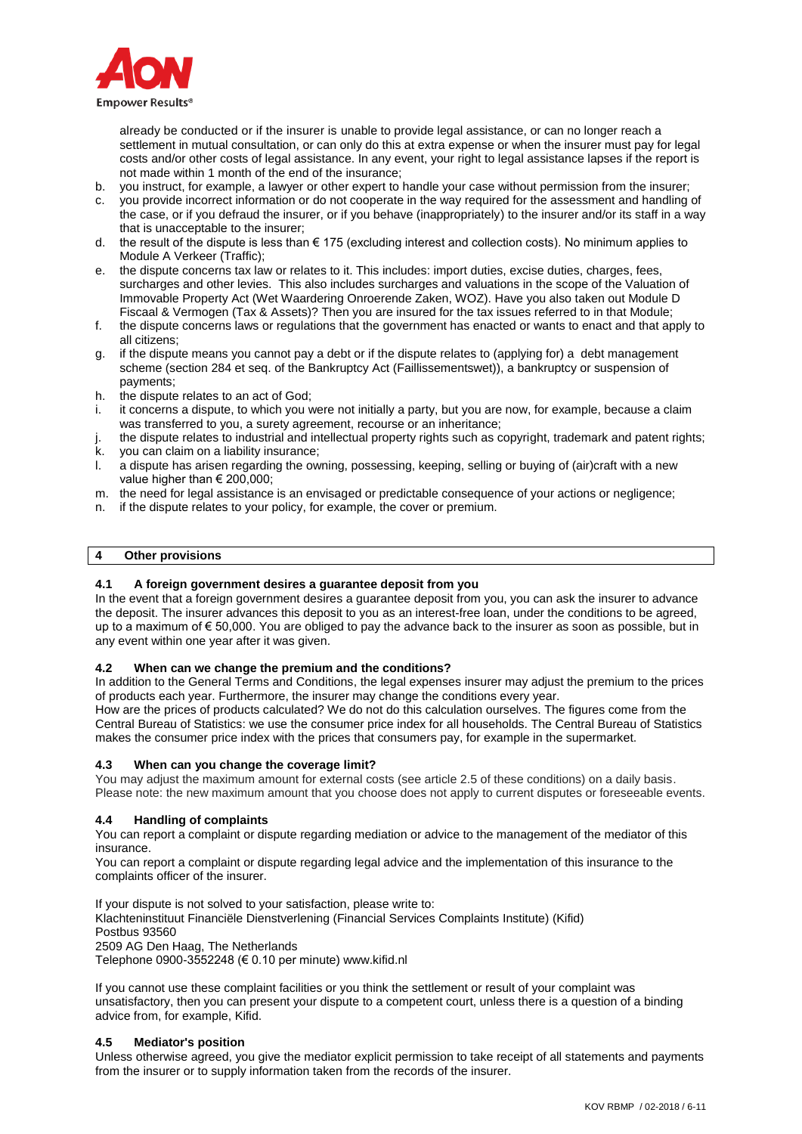

already be conducted or if the insurer is unable to provide legal assistance, or can no longer reach a settlement in mutual consultation, or can only do this at extra expense or when the insurer must pay for legal costs and/or other costs of legal assistance. In any event, your right to legal assistance lapses if the report is not made within 1 month of the end of the insurance;

- b. you instruct, for example, a lawyer or other expert to handle your case without permission from the insurer;
- c. you provide incorrect information or do not cooperate in the way required for the assessment and handling of the case, or if you defraud the insurer, or if you behave (inappropriately) to the insurer and/or its staff in a way that is unacceptable to the insurer;
- d. the result of the dispute is less than € 175 (excluding interest and collection costs). No minimum applies to Module A Verkeer (Traffic);
- e. the dispute concerns tax law or relates to it. This includes: import duties, excise duties, charges, fees, surcharges and other levies. This also includes surcharges and valuations in the scope of the Valuation of Immovable Property Act (Wet Waardering Onroerende Zaken, WOZ). Have you also taken out Module D Fiscaal & Vermogen (Tax & Assets)? Then you are insured for the tax issues referred to in that Module;
- f. the dispute concerns laws or regulations that the government has enacted or wants to enact and that apply to all citizens;
- g. if the dispute means you cannot pay a debt or if the dispute relates to (applying for) a debt management scheme (section 284 et seq. of the Bankruptcy Act (Faillissementswet)), a bankruptcy or suspension of payments;
- h. the dispute relates to an act of God;
- i. it concerns a dispute, to which you were not initially a party, but you are now, for example, because a claim was transferred to you, a surety agreement, recourse or an inheritance;
- the dispute relates to industrial and intellectual property rights such as copyright, trademark and patent rights; k. you can claim on a liability insurance;
- l. a dispute has arisen regarding the owning, possessing, keeping, selling or buying of (air)craft with a new value higher than € 200,000;
- m. the need for legal assistance is an envisaged or predictable consequence of your actions or negligence;
- n. if the dispute relates to your policy, for example, the cover or premium.

### **4 Other provisions**

# **4.1 A foreign government desires a guarantee deposit from you**

In the event that a foreign government desires a guarantee deposit from you, you can ask the insurer to advance the deposit. The insurer advances this deposit to you as an interest-free loan, under the conditions to be agreed, up to a maximum of € 50,000. You are obliged to pay the advance back to the insurer as soon as possible, but in any event within one year after it was given.

### **4.2 When can we change the premium and the conditions?**

In addition to the General Terms and Conditions, the legal expenses insurer may adjust the premium to the prices of products each year. Furthermore, the insurer may change the conditions every year.

How are the prices of products calculated? We do not do this calculation ourselves. The figures come from the Central Bureau of Statistics: we use the consumer price index for all households. The Central Bureau of Statistics makes the consumer price index with the prices that consumers pay, for example in the supermarket.

### **4.3 When can you change the coverage limit?**

You may adjust the maximum amount for external costs (see article 2.5 of these conditions) on a daily basis. Please note: the new maximum amount that you choose does not apply to current disputes or foreseeable events.

### **4.4 Handling of complaints**

You can report a complaint or dispute regarding mediation or advice to the management of the mediator of this insurance.

You can report a complaint or dispute regarding legal advice and the implementation of this insurance to the complaints officer of the insurer.

If your dispute is not solved to your satisfaction, please write to:

Klachteninstituut Financiële Dienstverlening (Financial Services Complaints Institute) (Kifid) Postbus 93560

2509 AG Den Haag, The Netherlands

Telephone 0900-3552248 (€ 0.10 per minute) www.kifid.nl

If you cannot use these complaint facilities or you think the settlement or result of your complaint was unsatisfactory, then you can present your dispute to a competent court, unless there is a question of a binding advice from, for example, Kifid.

### **4.5 Mediator's position**

Unless otherwise agreed, you give the mediator explicit permission to take receipt of all statements and payments from the insurer or to supply information taken from the records of the insurer.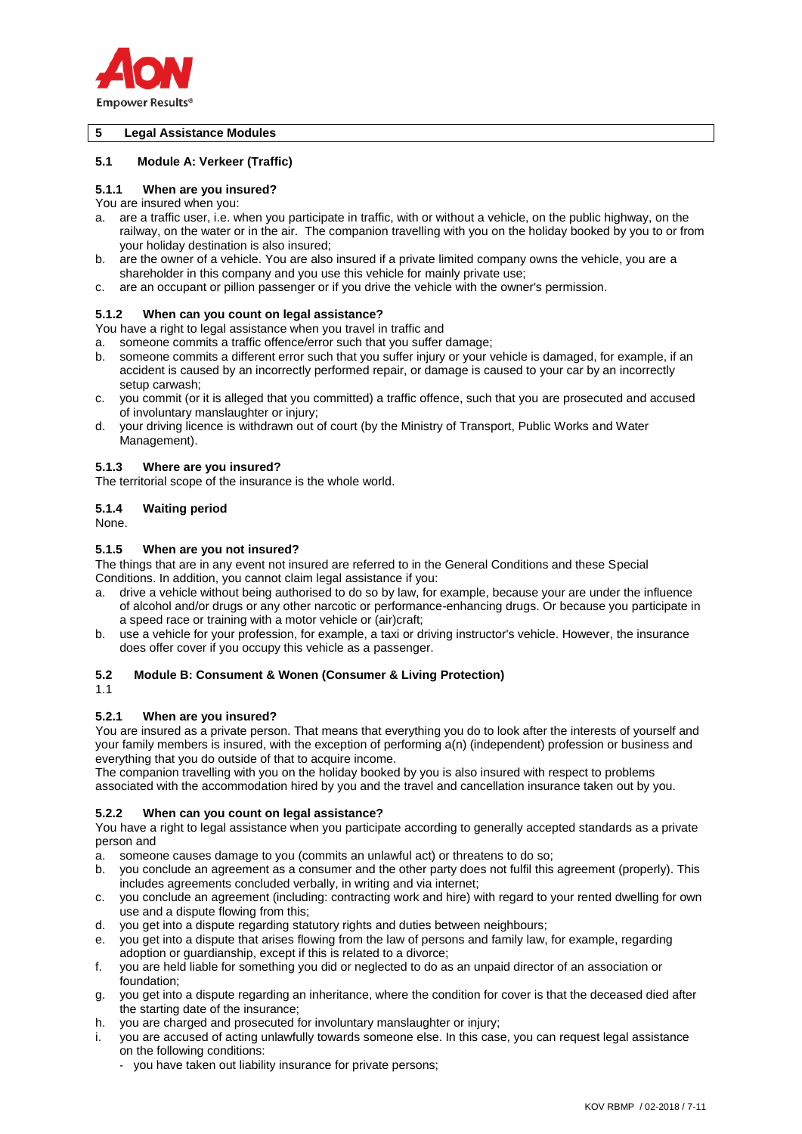

### **5 Legal Assistance Modules**

### **5.1 Module A: Verkeer (Traffic)**

# **5.1.1 When are you insured?**

You are insured when you:

- a. are a traffic user, i.e. when you participate in traffic, with or without a vehicle, on the public highway, on the railway, on the water or in the air. The companion travelling with you on the holiday booked by you to or from your holiday destination is also insured;
- b. are the owner of a vehicle. You are also insured if a private limited company owns the vehicle, you are a shareholder in this company and you use this vehicle for mainly private use;
- c. are an occupant or pillion passenger or if you drive the vehicle with the owner's permission.

### **5.1.2 When can you count on legal assistance?**

You have a right to legal assistance when you travel in traffic and

a. someone commits a traffic offence/error such that you suffer damage;

- b. someone commits a different error such that you suffer injury or your vehicle is damaged, for example, if an accident is caused by an incorrectly performed repair, or damage is caused to your car by an incorrectly setup carwash;
- c. you commit (or it is alleged that you committed) a traffic offence, such that you are prosecuted and accused of involuntary manslaughter or injury;
- d. your driving licence is withdrawn out of court (by the Ministry of Transport, Public Works and Water Management).

#### **5.1.3 Where are you insured?**

The territorial scope of the insurance is the whole world.

### **5.1.4 Waiting period**

None.

### **5.1.5 When are you not insured?**

The things that are in any event not insured are referred to in the General Conditions and these Special Conditions. In addition, you cannot claim legal assistance if you:

- a. drive a vehicle without being authorised to do so by law, for example, because your are under the influence of alcohol and/or drugs or any other narcotic or performance-enhancing drugs. Or because you participate in a speed race or training with a motor vehicle or (air)craft;
- b. use a vehicle for your profession, for example, a taxi or driving instructor's vehicle. However, the insurance does offer cover if you occupy this vehicle as a passenger.

### **5.2 Module B: Consument & Wonen (Consumer & Living Protection)**

1.1

### **5.2.1 When are you insured?**

You are insured as a private person. That means that everything you do to look after the interests of yourself and your family members is insured, with the exception of performing a(n) (independent) profession or business and everything that you do outside of that to acquire income.

The companion travelling with you on the holiday booked by you is also insured with respect to problems associated with the accommodation hired by you and the travel and cancellation insurance taken out by you.

### **5.2.2 When can you count on legal assistance?**

You have a right to legal assistance when you participate according to generally accepted standards as a private person and

- a. someone causes damage to you (commits an unlawful act) or threatens to do so;
- b. you conclude an agreement as a consumer and the other party does not fulfil this agreement (properly). This includes agreements concluded verbally, in writing and via internet;
- c. you conclude an agreement (including: contracting work and hire) with regard to your rented dwelling for own use and a dispute flowing from this;
- d. you get into a dispute regarding statutory rights and duties between neighbours;
- e. you get into a dispute that arises flowing from the law of persons and family law, for example, regarding adoption or guardianship, except if this is related to a divorce;
- f. you are held liable for something you did or neglected to do as an unpaid director of an association or foundation;
- g. you get into a dispute regarding an inheritance, where the condition for cover is that the deceased died after the starting date of the insurance;
- h. you are charged and prosecuted for involuntary manslaughter or injury;
- i. you are accused of acting unlawfully towards someone else. In this case, you can request legal assistance on the following conditions:
	- you have taken out liability insurance for private persons;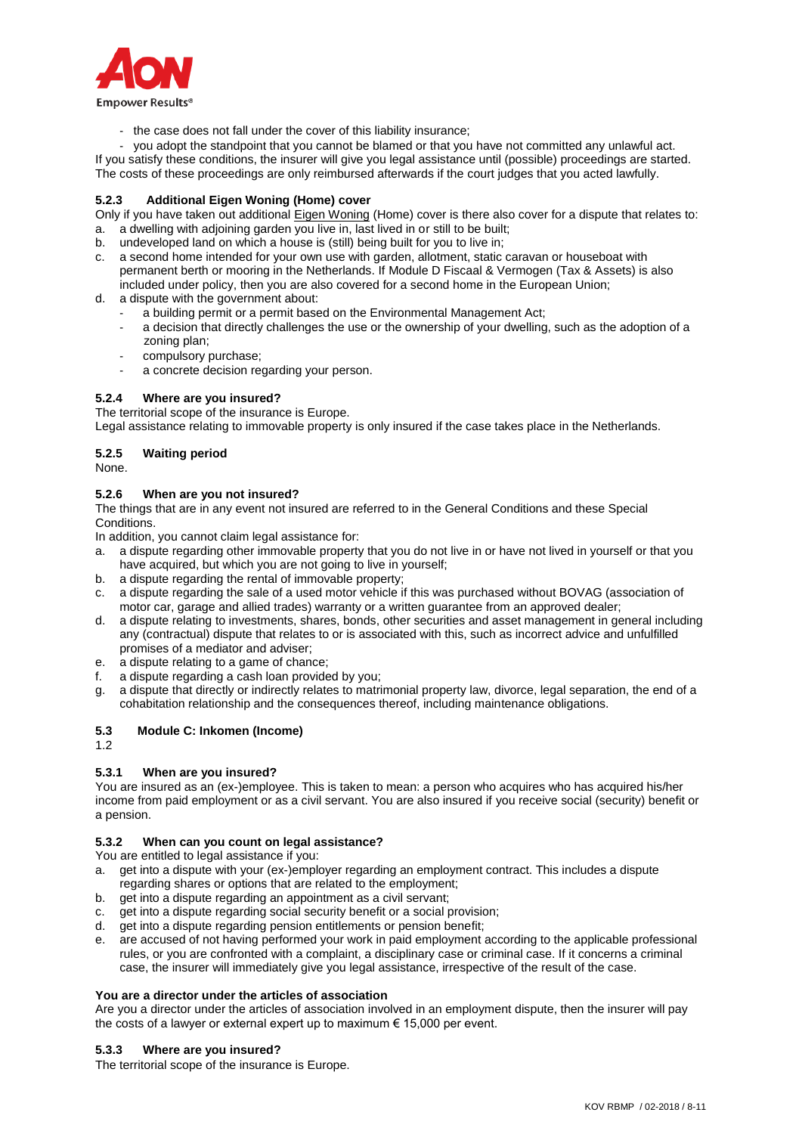

- the case does not fall under the cover of this liability insurance;

- you adopt the standpoint that you cannot be blamed or that you have not committed any unlawful act. If you satisfy these conditions, the insurer will give you legal assistance until (possible) proceedings are started. The costs of these proceedings are only reimbursed afterwards if the court judges that you acted lawfully.

# **5.2.3 Additional Eigen Woning (Home) cover**

Only if you have taken out additional Eigen Woning (Home) cover is there also cover for a dispute that relates to: a. a dwelling with adjoining garden you live in, last lived in or still to be built;

- b. undeveloped land on which a house is (still) being built for you to live in;
- a second home intended for your own use with garden, allotment, static caravan or houseboat with permanent berth or mooring in the Netherlands. If Module D Fiscaal & Vermogen (Tax & Assets) is also included under policy, then you are also covered for a second home in the European Union;
- d. a dispute with the government about:
	- a building permit or a permit based on the Environmental Management Act;
	- a decision that directly challenges the use or the ownership of your dwelling, such as the adoption of a zoning plan;
	- compulsory purchase:
	- a concrete decision regarding your person.

### **5.2.4 Where are you insured?**

The territorial scope of the insurance is Europe.

Legal assistance relating to immovable property is only insured if the case takes place in the Netherlands.

### **5.2.5 Waiting period**

None.

### **5.2.6 When are you not insured?**

The things that are in any event not insured are referred to in the General Conditions and these Special Conditions.

In addition, you cannot claim legal assistance for:

- a. a dispute regarding other immovable property that you do not live in or have not lived in yourself or that you have acquired, but which you are not going to live in yourself;
- b. a dispute regarding the rental of immovable property;
- c. a dispute regarding the sale of a used motor vehicle if this was purchased without BOVAG (association of motor car, garage and allied trades) warranty or a written guarantee from an approved dealer;
- d. a dispute relating to investments, shares, bonds, other securities and asset management in general including any (contractual) dispute that relates to or is associated with this, such as incorrect advice and unfulfilled promises of a mediator and adviser;
- e. a dispute relating to a game of chance;
- f. a dispute regarding a cash loan provided by you;
- g. a dispute that directly or indirectly relates to matrimonial property law, divorce, legal separation, the end of a cohabitation relationship and the consequences thereof, including maintenance obligations.

# **5.3 Module C: Inkomen (Income)**

1.2

# **5.3.1 When are you insured?**

You are insured as an (ex-)employee. This is taken to mean: a person who acquires who has acquired his/her income from paid employment or as a civil servant. You are also insured if you receive social (security) benefit or a pension.

### **5.3.2 When can you count on legal assistance?**

You are entitled to legal assistance if you:

- a. get into a dispute with your (ex-)employer regarding an employment contract. This includes a dispute regarding shares or options that are related to the employment;
- b. get into a dispute regarding an appointment as a civil servant;
- c. get into a dispute regarding social security benefit or a social provision;
- d. get into a dispute regarding pension entitlements or pension benefit;
- e. are accused of not having performed your work in paid employment according to the applicable professional rules, or you are confronted with a complaint, a disciplinary case or criminal case. If it concerns a criminal case, the insurer will immediately give you legal assistance, irrespective of the result of the case.

### **You are a director under the articles of association**

Are you a director under the articles of association involved in an employment dispute, then the insurer will pay the costs of a lawyer or external expert up to maximum € 15,000 per event.

### **5.3.3 Where are you insured?**

The territorial scope of the insurance is Europe.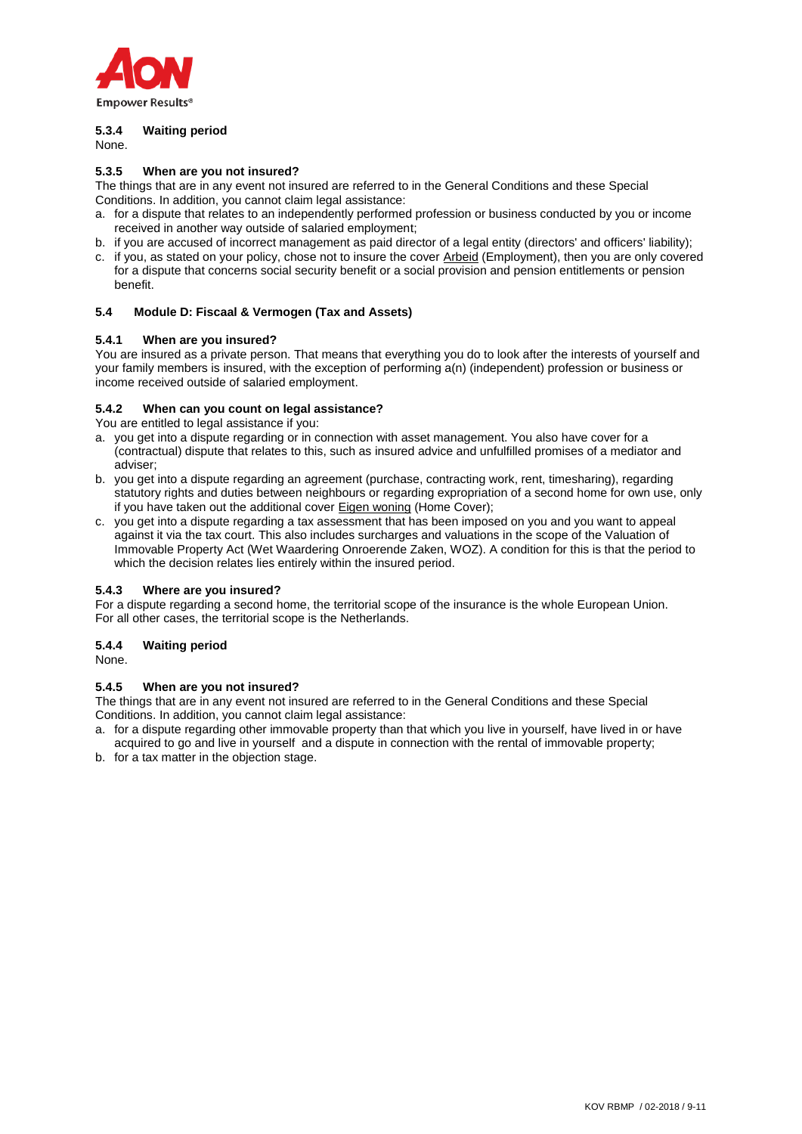

# **5.3.4 Waiting period**

None.

### **5.3.5 When are you not insured?**

The things that are in any event not insured are referred to in the General Conditions and these Special Conditions. In addition, you cannot claim legal assistance:

- a. for a dispute that relates to an independently performed profession or business conducted by you or income received in another way outside of salaried employment;
- b. if you are accused of incorrect management as paid director of a legal entity (directors' and officers' liability);
- c. if you, as stated on your policy, chose not to insure the cover Arbeid (Employment), then you are only covered for a dispute that concerns social security benefit or a social provision and pension entitlements or pension benefit.

### **5.4 Module D: Fiscaal & Vermogen (Tax and Assets)**

### **5.4.1 When are you insured?**

You are insured as a private person. That means that everything you do to look after the interests of yourself and your family members is insured, with the exception of performing a(n) (independent) profession or business or income received outside of salaried employment.

### **5.4.2 When can you count on legal assistance?**

You are entitled to legal assistance if you:

- a. you get into a dispute regarding or in connection with asset management. You also have cover for a (contractual) dispute that relates to this, such as insured advice and unfulfilled promises of a mediator and adviser;
- b. you get into a dispute regarding an agreement (purchase, contracting work, rent, timesharing), regarding statutory rights and duties between neighbours or regarding expropriation of a second home for own use, only if you have taken out the additional cover Eigen woning (Home Cover);
- c. you get into a dispute regarding a tax assessment that has been imposed on you and you want to appeal against it via the tax court. This also includes surcharges and valuations in the scope of the Valuation of Immovable Property Act (Wet Waardering Onroerende Zaken, WOZ). A condition for this is that the period to which the decision relates lies entirely within the insured period.

### **5.4.3 Where are you insured?**

For a dispute regarding a second home, the territorial scope of the insurance is the whole European Union. For all other cases, the territorial scope is the Netherlands.

# **5.4.4 Waiting period**

None.

### **5.4.5 When are you not insured?**

The things that are in any event not insured are referred to in the General Conditions and these Special Conditions. In addition, you cannot claim legal assistance:

- a. for a dispute regarding other immovable property than that which you live in yourself, have lived in or have acquired to go and live in yourself and a dispute in connection with the rental of immovable property;
- b. for a tax matter in the objection stage.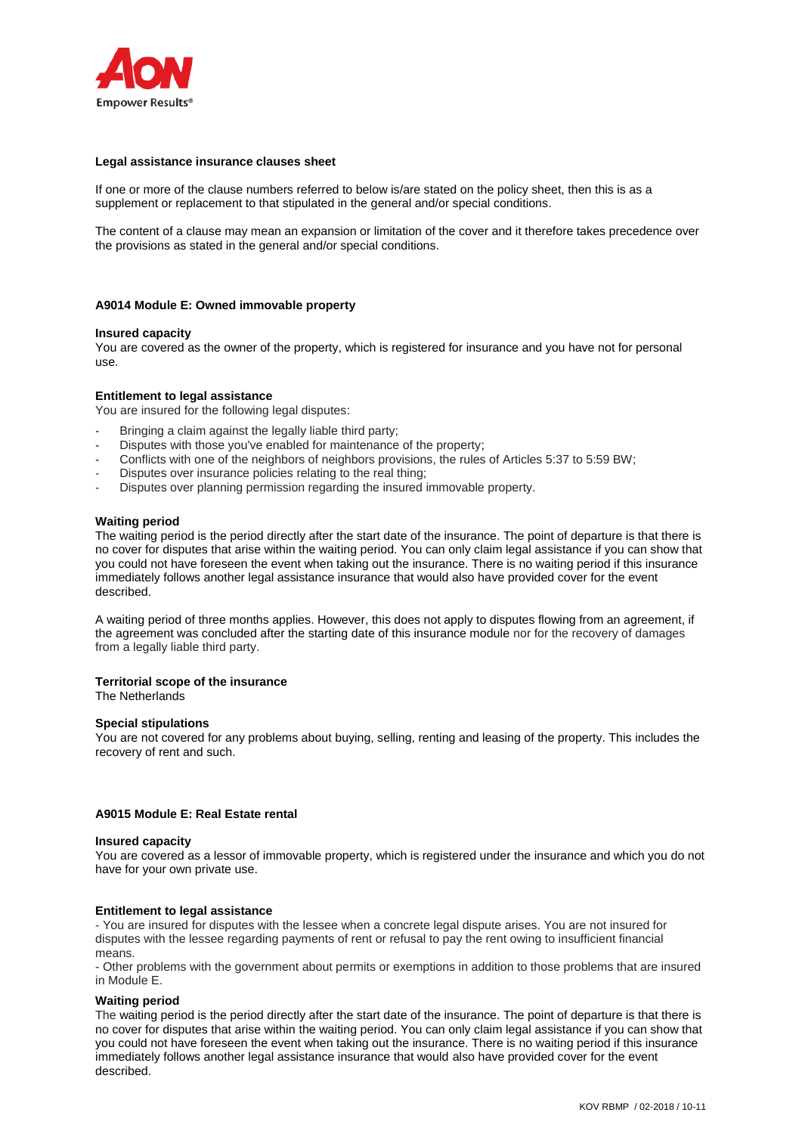

#### **Legal assistance insurance clauses sheet**

If one or more of the clause numbers referred to below is/are stated on the policy sheet, then this is as a supplement or replacement to that stipulated in the general and/or special conditions.

The content of a clause may mean an expansion or limitation of the cover and it therefore takes precedence over the provisions as stated in the general and/or special conditions.

#### **A9014 Module E: Owned immovable property**

#### **Insured capacity**

You are covered as the owner of the property, which is registered for insurance and you have not for personal use.

#### **Entitlement to legal assistance**

You are insured for the following legal disputes:

- Bringing a claim against the legally liable third party;
- Disputes with those you've enabled for maintenance of the property;
- Conflicts with one of the neighbors of neighbors provisions, the rules of Articles 5:37 to 5:59 BW;
- Disputes over insurance policies relating to the real thing;
- Disputes over planning permission regarding the insured immovable property.

#### **Waiting period**

The waiting period is the period directly after the start date of the insurance. The point of departure is that there is no cover for disputes that arise within the waiting period. You can only claim legal assistance if you can show that you could not have foreseen the event when taking out the insurance. There is no waiting period if this insurance immediately follows another legal assistance insurance that would also have provided cover for the event described.

A waiting period of three months applies. However, this does not apply to disputes flowing from an agreement, if the agreement was concluded after the starting date of this insurance module nor for the recovery of damages from a legally liable third party.

#### **Territorial scope of the insurance**

The Netherlands

#### **Special stipulations**

You are not covered for any problems about buying, selling, renting and leasing of the property. This includes the recovery of rent and such.

#### **A9015 Module E: Real Estate rental**

#### **Insured capacity**

You are covered as a lessor of immovable property, which is registered under the insurance and which you do not have for your own private use.

#### **Entitlement to legal assistance**

- You are insured for disputes with the lessee when a concrete legal dispute arises. You are not insured for disputes with the lessee regarding payments of rent or refusal to pay the rent owing to insufficient financial means.

- Other problems with the government about permits or exemptions in addition to those problems that are insured in Module E.

#### **Waiting period**

The waiting period is the period directly after the start date of the insurance. The point of departure is that there is no cover for disputes that arise within the waiting period. You can only claim legal assistance if you can show that you could not have foreseen the event when taking out the insurance. There is no waiting period if this insurance immediately follows another legal assistance insurance that would also have provided cover for the event described.